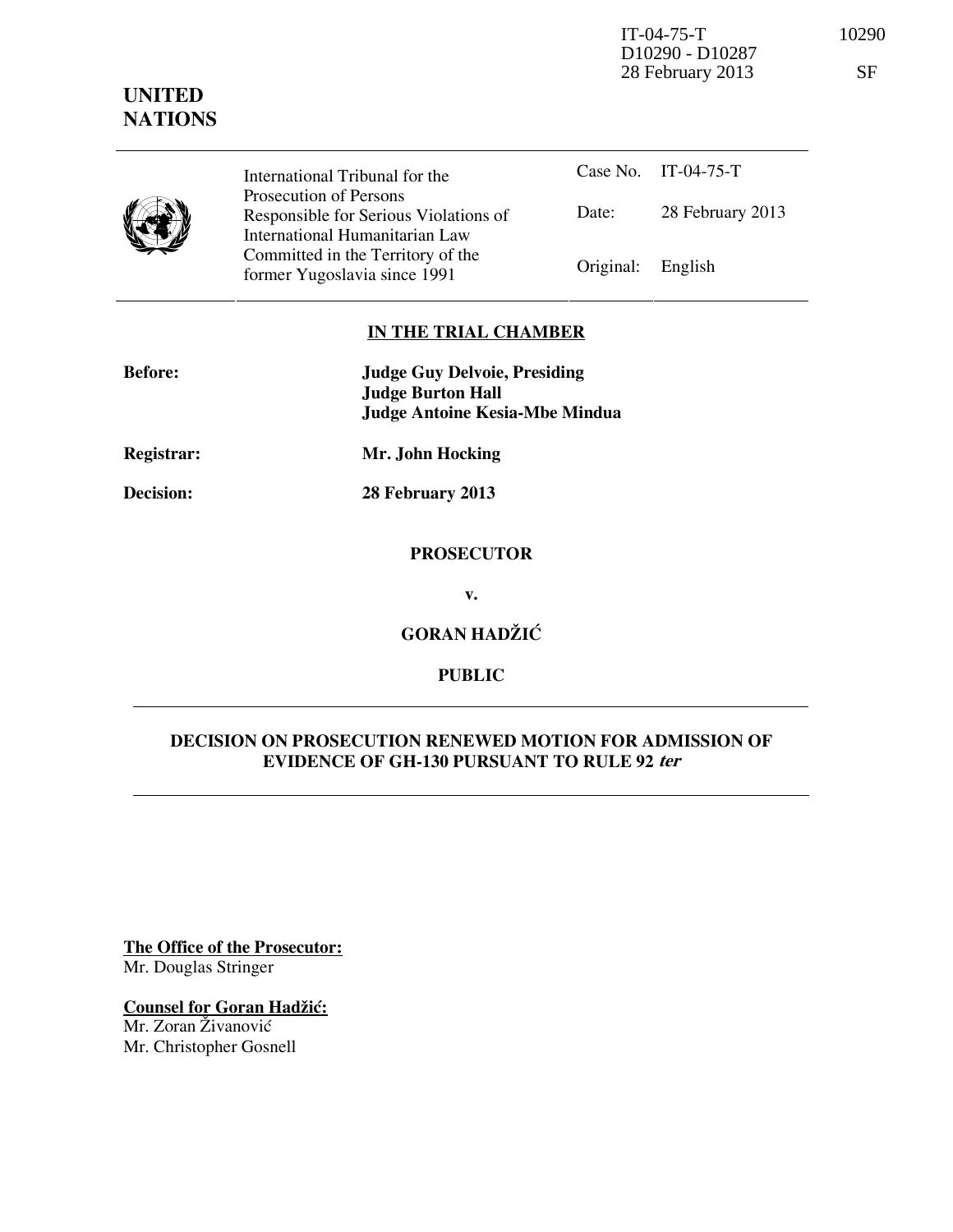IT-04-75-T 10290 D10290 - D10287 28 February 2013 SF

**UNITED NATIONS**



International Tribunal for the Prosecution of Persons Responsible for Serious Violations of International Humanitarian Law Committed in the Territory of the Former Yugoslavia since 1991 **Original:** English

Case No. IT-04-75-T Date: 28 February 2013

## **IN THE TRIAL CHAMBER**

| <b>Before:</b>    | <b>Judge Guy Delvoie, Presiding</b><br><b>Judge Burton Hall</b> |
|-------------------|-----------------------------------------------------------------|
|                   | Judge Antoine Kesia-Mbe Mindua                                  |
| <b>Registrar:</b> | Mr. John Hocking                                                |

**Decision: 28 February 2013** 

## **PROSECUTOR**

**v.** 

**GORAN HADŽIĆ** 

# **PUBLIC**

## **DECISION ON PROSECUTION RENEWED MOTION FOR ADMISSION OF EVIDENCE OF GH-130 PURSUANT TO RULE 92 ter**

**The Office of the Prosecutor:** Mr. Douglas Stringer

# **Counsel for Goran Hadžić:**

Mr. Zoran Živanović Mr. Christopher Gosnell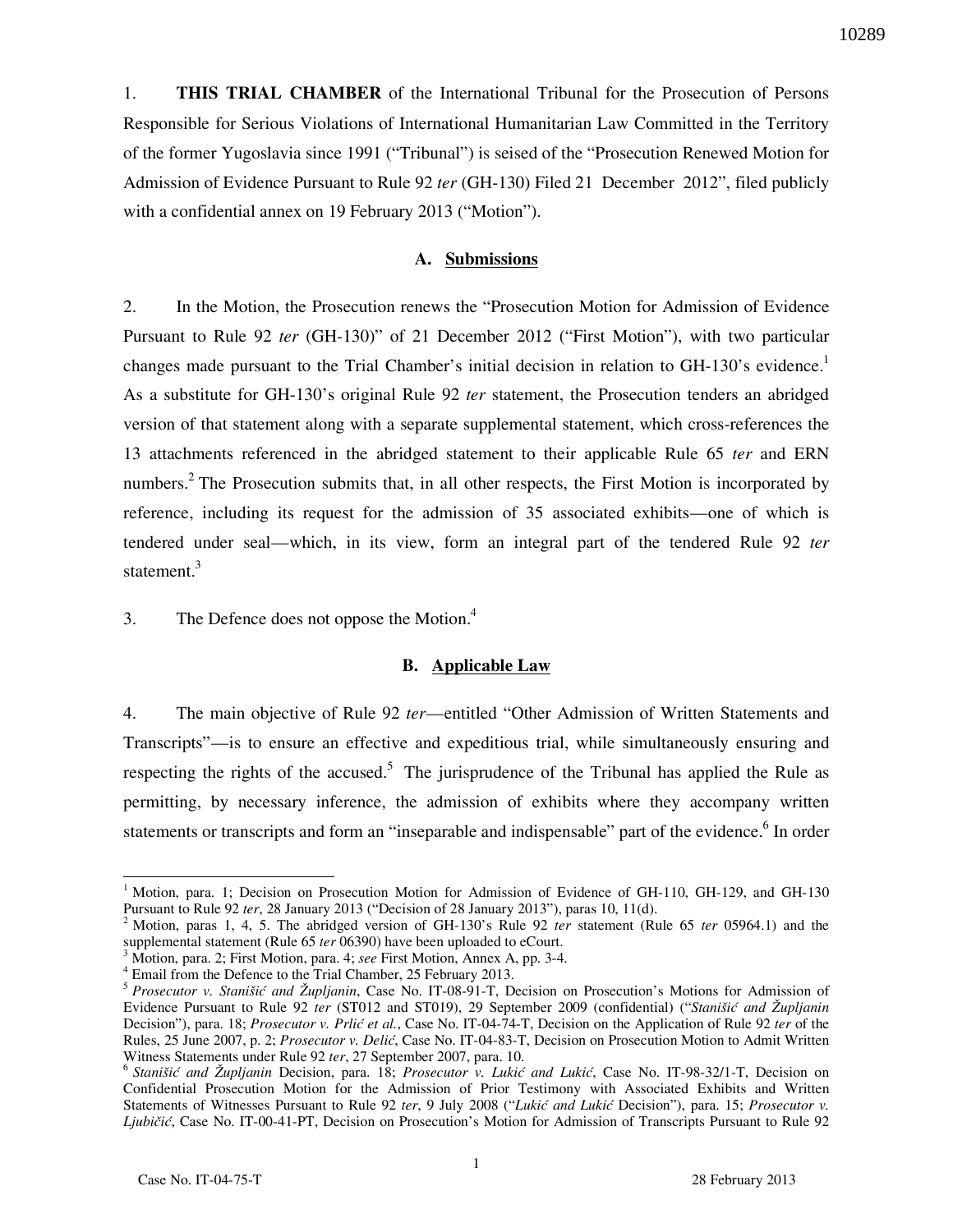10289

1. **THIS TRIAL CHAMBER** of the International Tribunal for the Prosecution of Persons Responsible for Serious Violations of International Humanitarian Law Committed in the Territory of the former Yugoslavia since 1991 ("Tribunal") is seised of the "Prosecution Renewed Motion for Admission of Evidence Pursuant to Rule 92 *ter* (GH-130) Filed 21 December 2012", filed publicly with a confidential annex on 19 February 2013 ("Motion").

### **A. Submissions**

2. In the Motion, the Prosecution renews the "Prosecution Motion for Admission of Evidence Pursuant to Rule 92 *ter* (GH-130)" of 21 December 2012 ("First Motion"), with two particular changes made pursuant to the Trial Chamber's initial decision in relation to GH-130's evidence.<sup>1</sup> As a substitute for GH-130's original Rule 92 *ter* statement, the Prosecution tenders an abridged version of that statement along with a separate supplemental statement, which cross-references the 13 attachments referenced in the abridged statement to their applicable Rule 65 *ter* and ERN numbers.<sup>2</sup> The Prosecution submits that, in all other respects, the First Motion is incorporated by reference, including its request for the admission of 35 associated exhibits—one of which is tendered under seal—which, in its view, form an integral part of the tendered Rule 92 *ter*  statement.<sup>3</sup>

3. The Defence does not oppose the Motion.<sup>4</sup>

### **B. Applicable Law**

4. The main objective of Rule 92 *ter*—entitled "Other Admission of Written Statements and Transcripts"—is to ensure an effective and expeditious trial, while simultaneously ensuring and respecting the rights of the accused.<sup>5</sup> The jurisprudence of the Tribunal has applied the Rule as permitting, by necessary inference, the admission of exhibits where they accompany written statements or transcripts and form an "inseparable and indispensable" part of the evidence. <sup>6</sup> In order

 $\overline{a}$ 

<sup>&</sup>lt;sup>1</sup> Motion, para. 1; Decision on Prosecution Motion for Admission of Evidence of GH-110, GH-129, and GH-130 Pursuant to Rule 92 *ter*, 28 January 2013 ("Decision of 28 January 2013"), paras 10, 11(d).

<sup>2</sup> Motion, paras 1, 4, 5. The abridged version of GH-130's Rule 92 *ter* statement (Rule 65 *ter* 05964.1) and the supplemental statement (Rule 65 *ter* 06390) have been uploaded to eCourt.

<sup>3</sup> Motion, para. 2; First Motion, para. 4; *see* First Motion, Annex A, pp. 3-4.

<sup>4</sup> Email from the Defence to the Trial Chamber, 25 February 2013.

<sup>5</sup> *Prosecutor v. Stanišić and Župljanin*, Case No. IT-08-91-T, Decision on Prosecution's Motions for Admission of Evidence Pursuant to Rule 92 *ter* (ST012 and ST019), 29 September 2009 (confidential) ("*Stanišić and Župljanin* Decision"), para. 18; *Prosecutor v. Prlić et al.*, Case No. IT-04-74-T, Decision on the Application of Rule 92 *ter* of the Rules, 25 June 2007, p. 2; *Prosecutor v. Delić*, Case No. IT-04-83-T, Decision on Prosecution Motion to Admit Written Witness Statements under Rule 92 *ter*, 27 September 2007, para. 10.

<sup>&</sup>lt;sup>6</sup> Stanišić and Župljanin Decision, para. 18; *Prosecutor v. Lukić and Lukić*, Case No. IT-98-32/1-T, Decision on Confidential Prosecution Motion for the Admission of Prior Testimony with Associated Exhibits and Written Statements of Witnesses Pursuant to Rule 92 ter, 9 July 2008 ("Lukić and Lukić Decision"), para. 15; *Prosecutor v. Ljubičić*, Case No. IT-00-41-PT, Decision on Prosecution's Motion for Admission of Transcripts Pursuant to Rule 92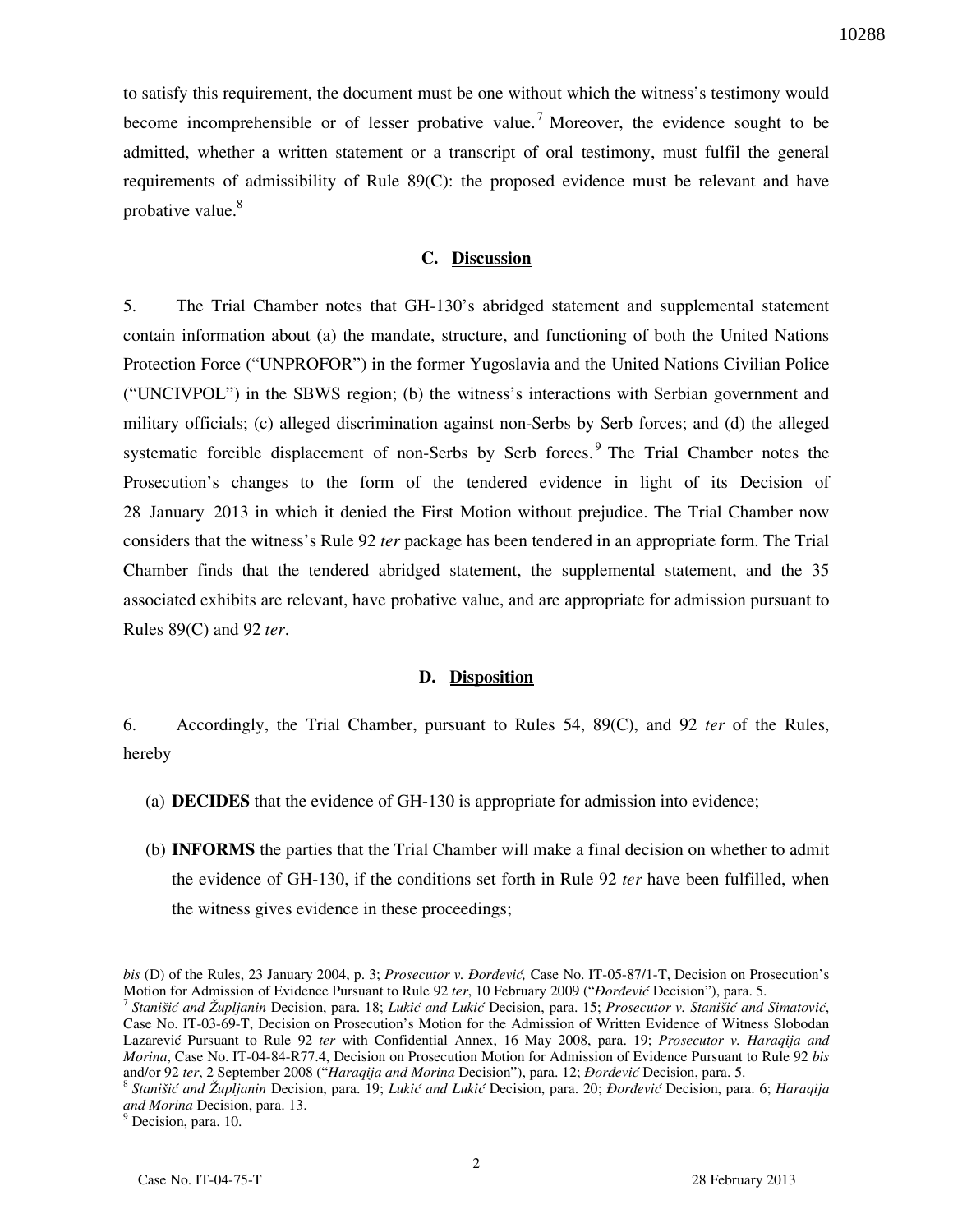to satisfy this requirement, the document must be one without which the witness's testimony would become incomprehensible or of lesser probative value.<sup>7</sup> Moreover, the evidence sought to be admitted, whether a written statement or a transcript of oral testimony, must fulfil the general requirements of admissibility of Rule 89(C): the proposed evidence must be relevant and have probative value.<sup>8</sup>

### **C. Discussion**

5. The Trial Chamber notes that GH-130's abridged statement and supplemental statement contain information about (a) the mandate, structure, and functioning of both the United Nations Protection Force ("UNPROFOR") in the former Yugoslavia and the United Nations Civilian Police ("UNCIVPOL") in the SBWS region; (b) the witness's interactions with Serbian government and military officials; (c) alleged discrimination against non-Serbs by Serb forces; and (d) the alleged systematic forcible displacement of non-Serbs by Serb forces.<sup>9</sup> The Trial Chamber notes the Prosecution's changes to the form of the tendered evidence in light of its Decision of 28 January 2013 in which it denied the First Motion without prejudice. The Trial Chamber now considers that the witness's Rule 92 *ter* package has been tendered in an appropriate form. The Trial Chamber finds that the tendered abridged statement, the supplemental statement, and the 35 associated exhibits are relevant, have probative value, and are appropriate for admission pursuant to Rules 89(C) and 92 *ter*.

### **D. Disposition**

6. Accordingly, the Trial Chamber, pursuant to Rules 54, 89(C), and 92 *ter* of the Rules, hereby

- (a) **DECIDES** that the evidence of GH-130 is appropriate for admission into evidence;
- (b) **INFORMS** the parties that the Trial Chamber will make a final decision on whether to admit the evidence of GH-130, if the conditions set forth in Rule 92 *ter* have been fulfilled, when the witness gives evidence in these proceedings;

 $\overline{a}$ 

*bis* (D) of the Rules, 23 January 2004, p. 3; *Prosecutor v. Đorđević*, Case No. IT-05-87/1-T, Decision on Prosecution's Motion for Admission of Evidence Pursuant to Rule 92 ter, 10 February 2009 ("*Đorđević* Decision"), para. 5.

<sup>7</sup> *Stanišić and Župljanin Decision, para. 18; Lukić and Lukić Decision, para. 15; Prosecutor v. Stanišić and Simatović,* Case No. IT-03-69-T, Decision on Prosecution's Motion for the Admission of Written Evidence of Witness Slobodan Lazarevi} Pursuant to Rule 92 *ter* with Confidential Annex, 16 May 2008, para. 19; *Prosecutor v. Haraqija and Morina*, Case No. IT-04-84-R77.4, Decision on Prosecution Motion for Admission of Evidence Pursuant to Rule 92 *bis* and/or 92 ter, 2 September 2008 ("*Haraqija and Morina Decision*"), para. 12; *Đorđević Decision*, para. 5.

<sup>&</sup>lt;sup>8</sup> Stanišić and Župljanin Decision, para. 19; Lukić and Lukić Decision, para. 20; *Đorđević* Decision, para. 6; Haraqija *and Morina* Decision, para. 13.

<sup>&</sup>lt;sup>9</sup> Decision, para. 10.